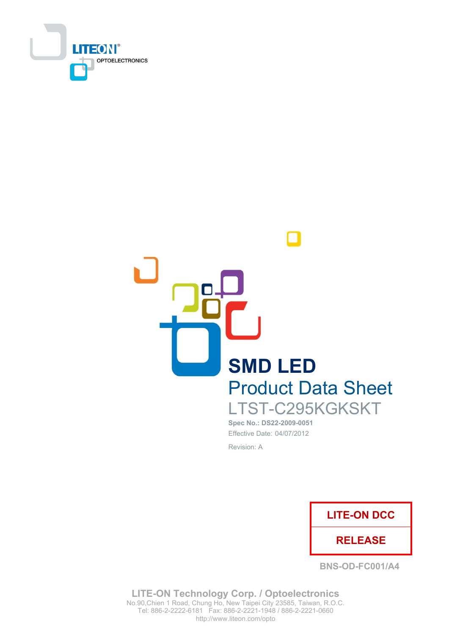



# Spec No.: DS22-2009-0051 Effective Date: 04/07/2012

Revision: A



**BNS-OD-FC001/A4** 

**LITE-ON Technology Corp. / Optoelectronics** No.90, Chien 1 Road, Chung Ho, New Taipei City 23585, Taiwan, R.O.C. Tel: 886-2-2222-6181 Fax: 886-2-2221-1948 / 886-2-2221-0660 http://www.liteon.com/opto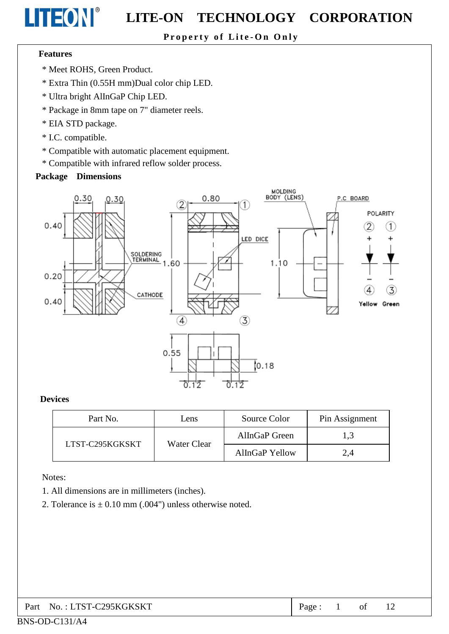# Property of Lite-On Only

## **Features**

**LITEON®** 

- \* Meet ROHS, Green Product.
- \* Extra Thin (0.55H mm)Dual color chip LED.
- \* Ultra bright AlInGaP Chip LED.
- \* Package in 8mm tape on 7" diameter reels.
- \* EIA STD package.
- \* I.C. compatible.
- \* Compatible with automatic placement equipment.
- \* Compatible with infrared reflow solder process.

## **Package Dimensions**



### **Devices**

| Part No.        | Lens        | Source Color          | Pin Assignment |
|-----------------|-------------|-----------------------|----------------|
| LTST-C295KGKSKT |             | AlInGaP Green         | 1,3            |
|                 | Water Clear | <b>AlInGaP Yellow</b> | 2.4            |

Notes:

- 1. All dimensions are in millimeters (inches).
- 2. Tolerance is  $\pm$  0.10 mm (.004") unless otherwise noted.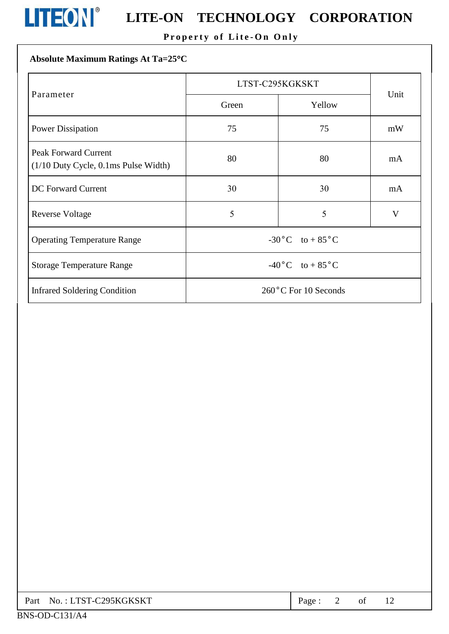

# **LITEON**<sup>®</sup> LITE-ON TECHNOLOGY CORPORATION

# Property of Lite-On Only

# Absolute Maximum Ratings At Ta=25°C

|                                                                          | LTST-C295KGKSKT                        |        |      |  |
|--------------------------------------------------------------------------|----------------------------------------|--------|------|--|
| Parameter                                                                | Green                                  | Yellow | Unit |  |
| <b>Power Dissipation</b>                                                 | 75                                     | 75     | mW   |  |
| <b>Peak Forward Current</b><br>$(1/10$ Duty Cycle, $0.1$ ms Pulse Width) | 80                                     | 80     | mA   |  |
| <b>DC</b> Forward Current                                                | 30                                     | 30     | mA   |  |
| <b>Reverse Voltage</b>                                                   | 5                                      | 5      | V    |  |
| <b>Operating Temperature Range</b>                                       | $-30^{\circ}$ C to + 85 <sup>°</sup> C |        |      |  |
| <b>Storage Temperature Range</b>                                         | $-40\degree C$ to $+85\degree C$       |        |      |  |
| <b>Infrared Soldering Condition</b>                                      | 260°C For 10 Seconds                   |        |      |  |

|  | Part No.: LTST-C295KGKSKT | Page. |  |  |  |  |
|--|---------------------------|-------|--|--|--|--|
|--|---------------------------|-------|--|--|--|--|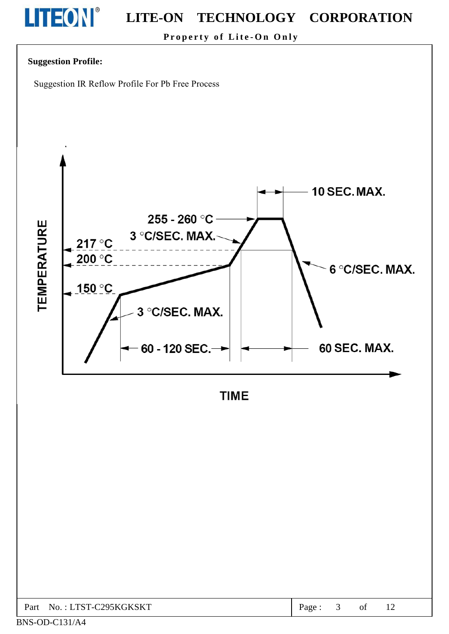

Property of Lite-On Only

# **Suggestion Profile:**

Suggestion IR Reflow Profile For Pb Free Process



**TIME** 

| C <sub>295</sub> KGKSKT<br>$TCT$ .<br>Part<br>NΩ<br>$-1$ | age |  | ОI | $\sim$<br>$\overline{1}$ |  |
|----------------------------------------------------------|-----|--|----|--------------------------|--|
|----------------------------------------------------------|-----|--|----|--------------------------|--|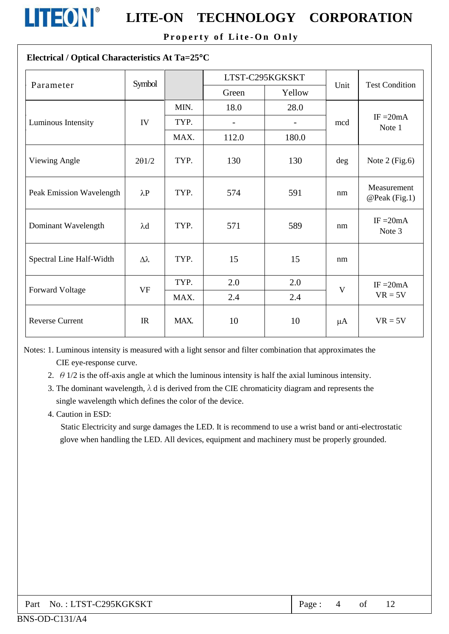

# **LITEON**<sup>®</sup> LITE-ON TECHNOLOGY CORPORATION

Property of Lite-On Only

# Electrical / Optical Characteristics At Ta=25°C

| Parameter                | Symbol           |      |       | LTST-C295KGKSKT   | Unit | <b>Test Condition</b>        |  |
|--------------------------|------------------|------|-------|-------------------|------|------------------------------|--|
|                          |                  |      | Green | Yellow            |      |                              |  |
|                          |                  | MIN. | 18.0  | 28.0              |      |                              |  |
| Luminous Intensity       | IV               | TYP. |       | $\qquad \qquad -$ | mcd  | $IF = 20mA$<br>Note 1        |  |
|                          |                  | MAX. | 112.0 | 180.0             |      |                              |  |
| Viewing Angle            | 201/2            | TYP. | 130   | 130               | deg  | Note $2$ (Fig.6)             |  |
| Peak Emission Wavelength | $\lambda$ P      | TYP. | 574   | 591               | nm   | Measurement<br>@Peak (Fig.1) |  |
| Dominant Wavelength      | $\lambda$ d      | TYP. | 571   | 589               | nm   | IF $=20mA$<br>Note 3         |  |
| Spectral Line Half-Width | $\Delta \lambda$ | TYP. | 15    | 15                | nm   |                              |  |
|                          | <b>VF</b>        | TYP. | 2.0   | 2.0               | V    | $IF = 20mA$                  |  |
| <b>Forward Voltage</b>   |                  | MAX. | 2.4   | 2.4               |      | $VR = 5V$                    |  |
| <b>Reverse Current</b>   | IR               | MAX. | 10    | 10                | μA   | $VR = 5V$                    |  |

Notes: 1. Luminous intensity is measured with a light sensor and filter combination that approximates the CIE eye-response curve.

2.  $\theta$  1/2 is the off-axis angle at which the luminous intensity is half the axial luminous intensity.

3. The dominant wavelength,  $\lambda$  d is derived from the CIE chromaticity diagram and represents the single wavelength which defines the color of the device.

4. Caution in ESD:

Static Electricity and surge damages the LED. It is recommend to use a wrist band or anti-electrostatic glove when handling the LED. All devices, equipment and machinery must be properly grounded.

| Part No.: LTST-C295KGKSKT | Page: $4$ of 12 |  |  |  |
|---------------------------|-----------------|--|--|--|
|---------------------------|-----------------|--|--|--|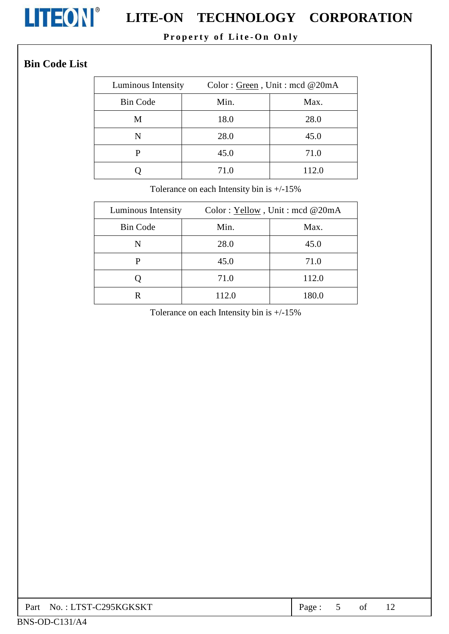

# **LITEON**<sup>®</sup> LITE-ON TECHNOLOGY CORPORATION

# Property of Lite-On Only

# **Bin Code List**

| Luminous Intensity |      | Color: Green, Unit: mcd @20mA |
|--------------------|------|-------------------------------|
| <b>Bin Code</b>    | Min. | Max.                          |
| M                  | 18.0 | 28.0                          |
| N                  | 28.0 | 45.0                          |
| Р                  | 45.0 | 71.0                          |
|                    | 71.0 | 112.0                         |

Tolerance on each Intensity bin is +/-15%

| Luminous Intensity | Color: Yellow, Unit: mcd @20mA |       |  |  |
|--------------------|--------------------------------|-------|--|--|
| <b>Bin Code</b>    | Min.                           | Max.  |  |  |
| N                  | 28.0                           | 45.0  |  |  |
| P                  | 45.0                           | 71.0  |  |  |
|                    | 71.0                           | 112.0 |  |  |
| R                  | 112.0                          | 180.0 |  |  |

Tolerance on each Intensity bin is  $+/-15\%$ 

| No. : LTST-C295KGKSKT<br>Part | Page |  | 01 |  |
|-------------------------------|------|--|----|--|
|-------------------------------|------|--|----|--|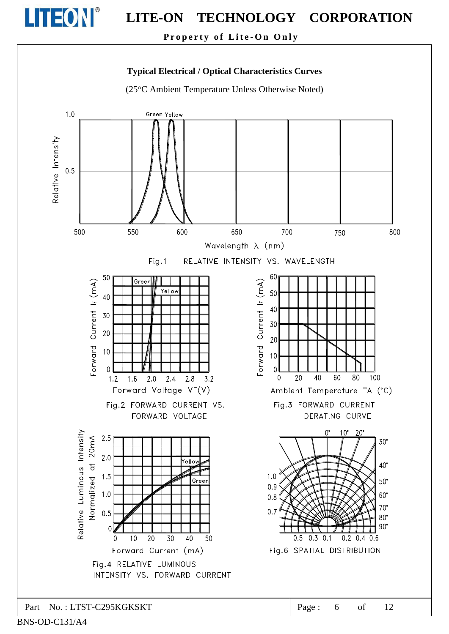

Property of Lite-On Only

# **Typical Electrical / Optical Characteristics Curves**

(25°C Ambient Temperature Unless Otherwise Noted)



BNS-OD-C131/A4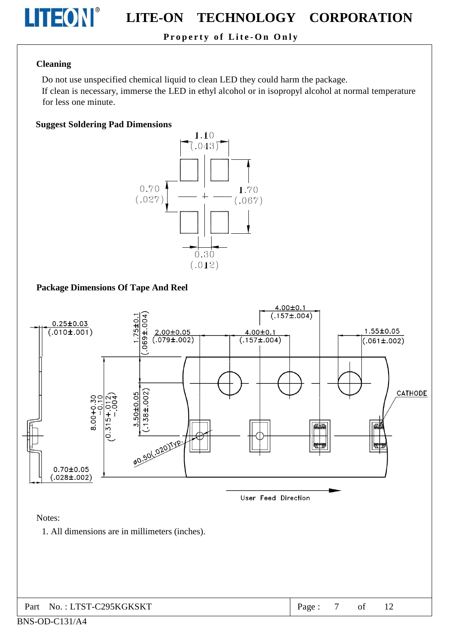

# Property of Lite-On Only

### **Cleaning**

Do not use unspecified chemical liquid to clean LED they could harm the package.

If clean is necessary, immerse the LED in ethyl alcohol or in isopropyl alcohol at normal temperature for less one minute.

### **Suggest Soldering Pad Dimensions**



# **Package Dimensions Of Tape And Reel**

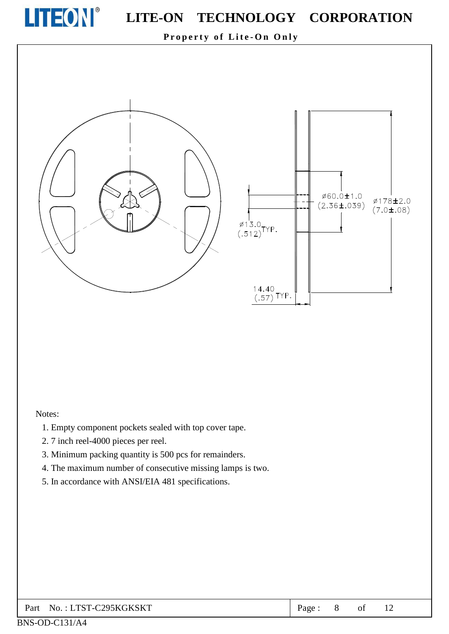

Property of Lite-On Only



#### Notes:

- 1. Empty component pockets sealed with top cover tape.
- 2.7 inch reel-4000 pieces per reel.
- 3. Minimum packing quantity is 500 pcs for remainders.
- 4. The maximum number of consecutive missing lamps is two.
- 5. In accordance with ANSI/EIA 481 specifications.

#### No.: LTST-C295KGKSKT Part

Ø178±2.0

 $(7.0 \pm .08)$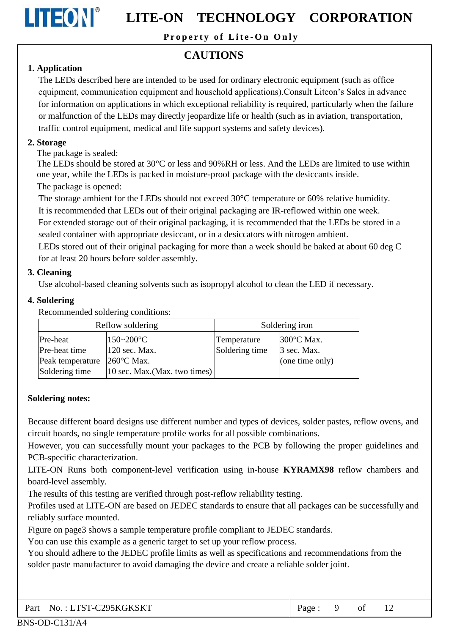

Property of Lite-On Only

# **CAUTIONS**

# 1. Application

The LEDs described here are intended to be used for ordinary electronic equipment (such as office equipment, communication equipment and household applications). Consult Liteon's Sales in advance for information on applications in which exceptional reliability is required, particularly when the failure or malfunction of the LEDs may directly jeopardize life or health (such as in aviation, transportation, traffic control equipment, medical and life support systems and safety devices).

# 2. Storage

The package is sealed:

The LEDs should be stored at 30 °C or less and 90% RH or less. And the LEDs are limited to use within one year, while the LEDs is packed in moisture-proof package with the desiccants inside. The package is opened:

The storage ambient for the LEDs should not exceed  $30^{\circ}$ C temperature or 60% relative humidity.

It is recommended that LEDs out of their original packaging are IR-reflowed within one week.

For extended storage out of their original packaging, it is recommended that the LEDs be stored in a sealed container with appropriate desiccant, or in a desiccators with nitrogen ambient.

LEDs stored out of their original packaging for more than a week should be baked at about 60 deg C for at least 20 hours before solder assembly.

# 3. Cleaning

Use alcohol-based cleaning solvents such as isopropyl alcohol to clean the LED if necessary.

# 4. Soldering

Recommended soldering conditions:

| Reflow soldering |                                                                 | Soldering iron |                      |  |
|------------------|-----------------------------------------------------------------|----------------|----------------------|--|
| Pre-heat         | $150 - 200$ °C                                                  | Temperature    | $300^{\circ}$ C Max. |  |
| Pre-heat time    | 120 sec. Max.                                                   | Soldering time | $3$ sec. Max.        |  |
| Peak temperature | $260^{\circ}$ C Max.                                            |                | (one time only)      |  |
| Soldering time   | $ 10 \text{ sec. } \text{Max.}(\text{Max. } \text{two times}) $ |                |                      |  |

# **Soldering notes:**

Because different board designs use different number and types of devices, solder pastes, reflow ovens, and circuit boards, no single temperature profile works for all possible combinations.

However, you can successfully mount your packages to the PCB by following the proper guidelines and PCB-specific characterization.

LITE-ON Runs both component-level verification using in-house KYRAMX98 reflow chambers and board-level assembly.

The results of this testing are verified through post-reflow reliability testing.

Profiles used at LITE-ON are based on JEDEC standards to ensure that all packages can be successfully and reliably surface mounted.

Figure on page3 shows a sample temperature profile compliant to JEDEC standards.

You can use this example as a generic target to set up your reflow process.

You should adhere to the JEDEC profile limits as well as specifications and recommendations from the solder paste manufacturer to avoid damaging the device and create a reliable solder joint.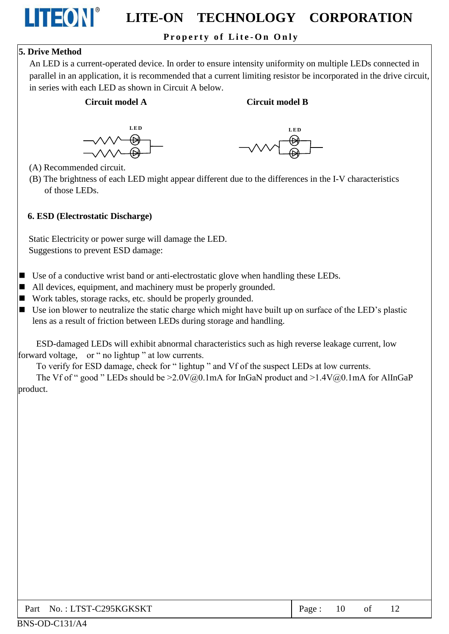# Property of Lite-On Only

# **5. Drive Method**

LITEON®

An LED is a current-operated device. In order to ensure intensity uniformity on multiple LEDs connected in parallel in an application, it is recommended that a current limiting resistor be incorporated in the drive circuit, in series with each LED as shown in Circuit A below.

### Circuit model A

### **Circuit model B**





(A) Recommended circuit.

(B) The brightness of each LED might appear different due to the differences in the I-V characteristics of those LEDs.

### 6. ESD (Electrostatic Discharge)

Static Electricity or power surge will damage the LED. Suggestions to prevent ESD damage:

- $\blacksquare$  Use of a conductive wrist band or anti-electrostatic glove when handling these LEDs.
- All devices, equipment, and machinery must be properly grounded.
- Work tables, storage racks, etc. should be properly grounded.
- $\blacksquare$  Use ion blower to neutralize the static charge which might have built up on surface of the LED's plastic lens as a result of friction between LEDs during storage and handling.

ESD-damaged LEDs will exhibit abnormal characteristics such as high reverse leakage current, low forward voltage, or " no lightup " at low currents.

To verify for ESD damage, check for "lightup" and Vf of the suspect LEDs at low currents.

The Vf of " good " LEDs should be  $>2.0V(0,0.1mA$  for InGaN product and  $>1.4V(0,0.1mA$  for AlInGaP product.

| Part No.: LTST-C295KGKSKT | Page: | 10 | of |  |
|---------------------------|-------|----|----|--|
|---------------------------|-------|----|----|--|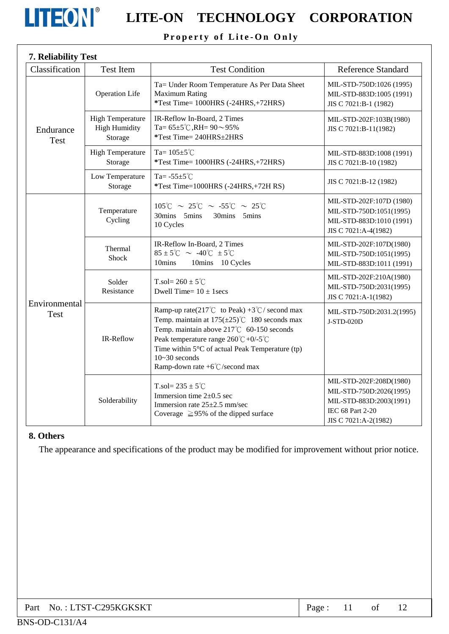

# Property of Lite-On Only

| 7. Reliability Test          |                                                            |                                                                                                                                                                                                                                                                                                                           |                                                                                                                           |
|------------------------------|------------------------------------------------------------|---------------------------------------------------------------------------------------------------------------------------------------------------------------------------------------------------------------------------------------------------------------------------------------------------------------------------|---------------------------------------------------------------------------------------------------------------------------|
| Classification               | <b>Test Item</b>                                           | <b>Test Condition</b>                                                                                                                                                                                                                                                                                                     | <b>Reference Standard</b>                                                                                                 |
| Endurance<br><b>Test</b>     | <b>Operation Life</b>                                      | Ta= Under Room Temperature As Per Data Sheet<br><b>Maximum Rating</b><br>*Test Time= 1000HRS (-24HRS,+72HRS)                                                                                                                                                                                                              | MIL-STD-750D:1026 (1995)<br>MIL-STD-883D:1005 (1991)<br>JIS C 7021:B-1 (1982)                                             |
|                              | <b>High Temperature</b><br><b>High Humidity</b><br>Storage | IR-Reflow In-Board, 2 Times<br>Ta= $65\pm5^{\circ}$ C, RH= $90\sim95\%$<br>*Test Time= 240HRS±2HRS                                                                                                                                                                                                                        | MIL-STD-202F:103B(1980)<br>JIS C 7021:B-11(1982)                                                                          |
|                              | <b>High Temperature</b><br>Storage                         | Ta= $105 \pm 5^{\circ}$ C<br>*Test Time= 1000HRS (-24HRS,+72HRS)                                                                                                                                                                                                                                                          | MIL-STD-883D:1008 (1991)<br>JIS C 7021:B-10 (1982)                                                                        |
|                              | Low Temperature<br>Storage                                 | Ta= $-55\pm5^{\circ}$ C<br>*Test Time=1000HRS (-24HRS,+72H RS)                                                                                                                                                                                                                                                            | JIS C 7021:B-12 (1982)                                                                                                    |
| Environmental<br><b>Test</b> | Temperature<br>Cycling                                     | $105^{\circ}$ C ~ 25°C ~ -55°C ~ 25°C<br>30mins 5mins<br>30mins 5mins<br>10 Cycles                                                                                                                                                                                                                                        | MIL-STD-202F:107D (1980)<br>MIL-STD-750D:1051(1995)<br>MIL-STD-883D:1010 (1991)<br>JIS C 7021:A-4(1982)                   |
|                              | Thermal<br><b>Shock</b>                                    | IR-Reflow In-Board, 2 Times<br>$85 \pm 5^{\circ}$ C ~ -40 $^{\circ}$ C $\pm 5^{\circ}$ C<br>10mins<br>10mins 10 Cycles                                                                                                                                                                                                    | MIL-STD-202F:107D(1980)<br>MIL-STD-750D:1051(1995)<br>MIL-STD-883D:1011 (1991)                                            |
|                              | Solder<br>Resistance                                       | T.sol= $260 \pm 5^{\circ}$ C<br>Dwell Time= $10 \pm 1$ secs                                                                                                                                                                                                                                                               | MIL-STD-202F:210A(1980)<br>MIL-STD-750D:2031(1995)<br>JIS C 7021:A-1(1982)                                                |
|                              | IR-Reflow                                                  | Ramp-up rate(217°C to Peak) +3°C/ second max<br>Temp. maintain at $175(\pm 25)$ °C 180 seconds max<br>Temp. maintain above 217°C 60-150 seconds<br>Peak temperature range $260^{\circ}C + 0/5^{\circ}C$<br>Time within 5°C of actual Peak Temperature (tp)<br>$10-30$ seconds<br>Ramp-down rate $+6^{\circ}$ C/second max | MIL-STD-750D:2031.2(1995)<br>J-STD-020D                                                                                   |
|                              | Solderability                                              | T.sol= $235 \pm 5^{\circ}$ C<br>Immersion time $2\pm0.5$ sec<br>Immersion rate 25±2.5 mm/sec<br>Coverage $\geq$ 95% of the dipped surface                                                                                                                                                                                 | MIL-STD-202F:208D(1980)<br>MIL-STD-750D:2026(1995)<br>MIL-STD-883D:2003(1991)<br>IEC 68 Part 2-20<br>JIS C 7021:A-2(1982) |

## 8. Others

The appearance and specifications of the product may be modified for improvement without prior notice.

| Part No.: LTST-C295KGKSKT | Page: |  |  |  |  |
|---------------------------|-------|--|--|--|--|
|---------------------------|-------|--|--|--|--|